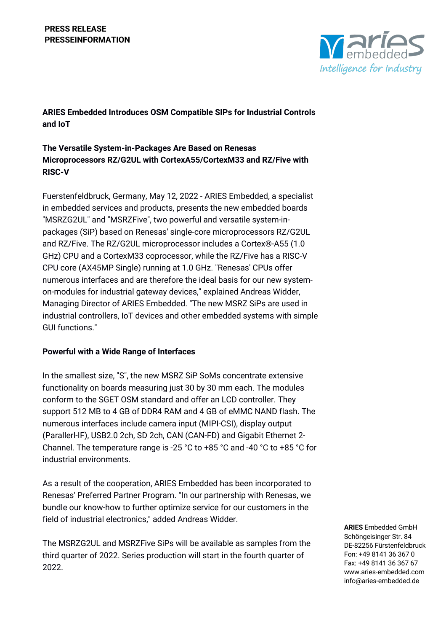# **PRESS RELEASE PRESSEINFORMATION**



**ARIES Embedded Introduces OSM Compatible SIPs for Industrial Controls and IoT**

# **The Versatile System-in-Packages Are Based on Renesas Microprocessors RZ/G2UL with CortexA55/CortexM33 and RZ/Five with RISC-V**

Fuerstenfeldbruck, Germany, May 12, 2022 - ARIES Embedded, a specialist in embedded services and products, presents the new embedded boards "MSRZG2UL" and "MSRZFive", two powerful and versatile system-inpackages (SiP) based on Renesas' single-core microprocessors RZ/G2UL and RZ/Five. The RZ/G2UL microprocessor includes a Cortex®-A55 (1.0 GHz) CPU and a CortexM33 coprocessor, while the RZ/Five has a RISC-V CPU core (AX45MP Single) running at 1.0 GHz. "Renesas' CPUs offer numerous interfaces and are therefore the ideal basis for our new systemon-modules for industrial gateway devices," explained Andreas Widder, Managing Director of ARIES Embedded. "The new MSRZ SiPs are used in industrial controllers, IoT devices and other embedded systems with simple GUI functions."

# **Powerful with a Wide Range of Interfaces**

In the smallest size, "S", the new MSRZ SiP SoMs concentrate extensive functionality on boards measuring just 30 by 30 mm each. The modules conform to the SGET OSM standard and offer an LCD controller. They support 512 MB to 4 GB of DDR4 RAM and 4 GB of eMMC NAND flash. The numerous interfaces include camera input (MIPI-CSI), display output (Parallerl-IF), USB2.0 2ch, SD 2ch, CAN (CAN-FD) and Gigabit Ethernet 2- Channel. The temperature range is -25 °C to +85 °C and -40 °C to +85 °C for industrial environments.

As a result of the cooperation, ARIES Embedded has been incorporated to Renesas' Preferred Partner Program. "In our partnership with Renesas, we bundle our know-how to further optimize service for our customers in the field of industrial electronics," added Andreas Widder.

The MSRZG2UL and MSRZFive SiPs will be available as samples from the third quarter of 2022. Series production will start in the fourth quarter of 2022.

**ARIES** Embedded GmbH Schöngeisinger Str. 84 DE-82256 Fürstenfeldbruck Fon: +49 8141 36 367 0 Fax: +49 8141 36 367 67 www.aries-embedded.com info@aries-embedded.de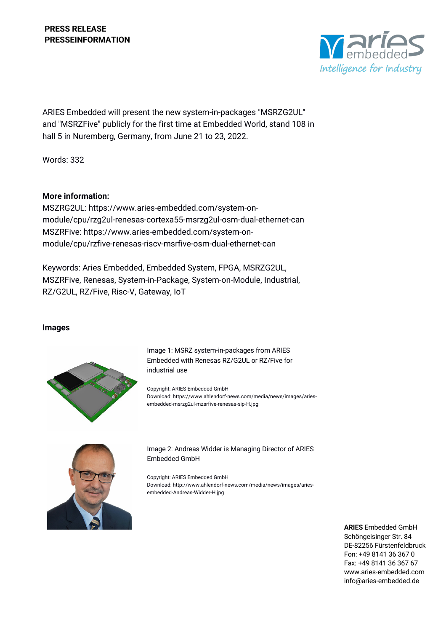

ARIES Embedded will present the new system-in-packages "MSRZG2UL" and "MSRZFive" publicly for the first time at Embedded World, stand 108 in hall 5 in Nuremberg, Germany, from June 21 to 23, 2022.

Words: 332

## **More information:**

MSZRG2UL: https://www.aries-embedded.com/system-onmodule/cpu/rzg2ul-renesas-cortexa55-msrzg2ul-osm-dual-ethernet-can MSZRFive: https://www.aries-embedded.com/system-onmodule/cpu/rzfive-renesas-riscv-msrfive-osm-dual-ethernet-can

Keywords: Aries Embedded, Embedded System, FPGA, MSRZG2UL, MSZRFive, Renesas, System-in-Package, System-on-Module, Industrial, RZ/G2UL, RZ/Five, Risc-V, Gateway, IoT

### **Images**



Image 1: MSRZ system-in-packages from ARIES Embedded with Renesas RZ/G2UL or RZ/Five for industrial use

Copyright: ARIES Embedded GmbH Download: https://www.ahlendorf-news.com/media/news/images/ariesembedded-msrzg2ul-mzsrfive-renesas-sip-H.jpg



Image 2: Andreas Widder is Managing Director of ARIES Embedded GmbH

Copyright: ARIES Embedded GmbH Download: http://www.ahlendorf-news.com/media/news/images/ariesembedded-Andreas-Widder-H.jpg

> **ARIES** Embedded GmbH Schöngeisinger Str. 84 DE-82256 Fürstenfeldbruck Fon: +49 8141 36 367 0 Fax: +49 8141 36 367 67 www.aries-embedded.com info@aries-embedded.de